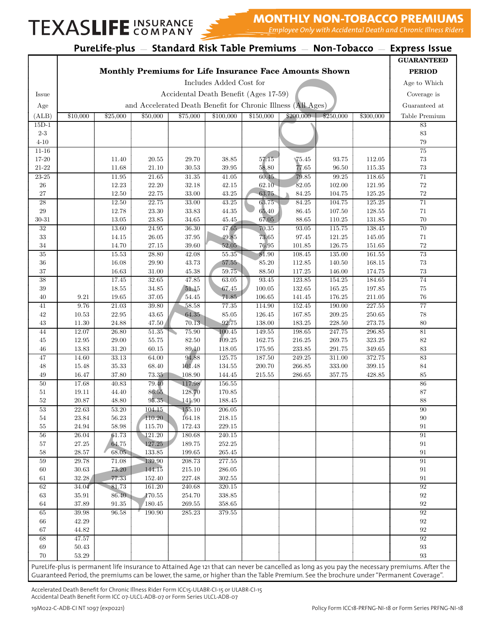### TEXASLIFE COMPANY

#### **Example 2 MONTHLY NON-TOBACCO PREMIUMS**

*Employee Only with Accidental Death and Chronic Illness Riders*

|                    |                                                        |                         |                  |                  |                      |                                       |                                                              |                  |                  | PureLife-plus - Standard Risk Table Premiums - Non-Tobacco - Express Issue                                                                                                                                                                                                               |
|--------------------|--------------------------------------------------------|-------------------------|------------------|------------------|----------------------|---------------------------------------|--------------------------------------------------------------|------------------|------------------|------------------------------------------------------------------------------------------------------------------------------------------------------------------------------------------------------------------------------------------------------------------------------------------|
|                    |                                                        |                         |                  |                  |                      |                                       |                                                              |                  |                  | <b>GUARANTEED</b>                                                                                                                                                                                                                                                                        |
|                    | Monthly Premiums for Life Insurance Face Amounts Shown |                         |                  |                  |                      |                                       |                                                              |                  | <b>PERIOD</b>    |                                                                                                                                                                                                                                                                                          |
|                    |                                                        | Includes Added Cost for |                  |                  |                      |                                       |                                                              |                  |                  |                                                                                                                                                                                                                                                                                          |
| Issue              |                                                        |                         |                  |                  |                      | Accidental Death Benefit (Ages 17-59) |                                                              |                  |                  | Coverage is                                                                                                                                                                                                                                                                              |
| Age                |                                                        |                         |                  |                  |                      |                                       | and Accelerated Death Benefit for Chronic Illness (All Ages) |                  |                  | Guaranteed at                                                                                                                                                                                                                                                                            |
| (ALB)              | \$10,000                                               | \$25,000                | \$50,000         | \$75,000         | \$100,000            | \$150,000                             | \$200,000                                                    | \$250,000        | \$300,000        | Table Premium                                                                                                                                                                                                                                                                            |
| $15D-1$            |                                                        |                         |                  |                  |                      |                                       |                                                              |                  |                  | 83                                                                                                                                                                                                                                                                                       |
| $2-3$              |                                                        |                         |                  |                  |                      |                                       |                                                              |                  |                  | $83\,$                                                                                                                                                                                                                                                                                   |
| $4 - 10$           |                                                        |                         |                  |                  |                      |                                       |                                                              |                  |                  | 79                                                                                                                                                                                                                                                                                       |
| $11 - 16$<br>17-20 |                                                        | 11.40                   | $20.55\,$        | 29.70            | 38.85                | 57.15                                 | $\P{5.45}$                                                   | 93.75            | 112.05           | 75<br>73                                                                                                                                                                                                                                                                                 |
| $21 - 22$          |                                                        | 11.68                   | 21.10            | 30.53            | 39.95                | 58.80                                 | 77.65                                                        | 96.50            | 115.35           | $73\,$                                                                                                                                                                                                                                                                                   |
| $23 - 25$          |                                                        | 11.95                   | 21.65            | 31.35            | 41.05                | 60.45                                 | 79.85                                                        | 99.25            | 118.65           | $\overline{71}$                                                                                                                                                                                                                                                                          |
| 26                 |                                                        | 12.23                   | 22.20            | 32.18            | 42.15                | 62.10                                 | 82.05                                                        | 102.00           | 121.95           | 72                                                                                                                                                                                                                                                                                       |
| $27\,$             |                                                        | 12.50                   | 22.75            | 33.00            | 43.25                | 63.75                                 | 84.25                                                        | 104.75           | 125.25           | $72\,$                                                                                                                                                                                                                                                                                   |
| $\sqrt{28}$        |                                                        | 12.50                   | 22.75            | 33.00            | 43.25                | 63.75                                 | 84.25                                                        | 104.75           | 125.25           | $71\,$                                                                                                                                                                                                                                                                                   |
| $\,29$             |                                                        | 12.78                   | $23.30\,$        | 33.83            | $44.35\,$            | 65.40                                 | 86.45                                                        | 107.50           | 128.55           | 71                                                                                                                                                                                                                                                                                       |
| $30 - 31$<br>32    |                                                        | 13.05<br>13.60          | 23.85<br>24.95   | 34.65<br>36.30   | 45.45<br>47.65       | 67.05<br>70.35                        | 88.65<br>93.05                                               | 110.25<br>115.75 | 131.85<br>138.45 | $70\,$<br>70                                                                                                                                                                                                                                                                             |
| 33                 |                                                        | 14.15                   | 26.05            | 37.95            | 49.85                | 73.65                                 | 97.45                                                        | 121.25           | 145.05           | 71                                                                                                                                                                                                                                                                                       |
| 34                 |                                                        | 14.70                   | 27.15            | 39.60            | 52.05                | 76.95                                 | 101.85                                                       | 126.75           | 151.65           | 72                                                                                                                                                                                                                                                                                       |
| $35\,$             |                                                        | 15.53                   | 28.80            | 42.08            | 55.35                | 81.90                                 | 108.45                                                       | 135.00           | 161.55           | 73                                                                                                                                                                                                                                                                                       |
| 36                 |                                                        | 16.08                   | 29.90            | 43.73            | 57.55                | 85.20                                 | 112.85                                                       | 140.50           | 168.15           | 73                                                                                                                                                                                                                                                                                       |
| 37                 |                                                        | 16.63                   | 31.00            | 45.38            | 59.75                | 88.50                                 | 117.25                                                       | 146.00           | 174.75           | $73\,$                                                                                                                                                                                                                                                                                   |
| 38                 |                                                        | 17.45                   | 32.65            | 47.85            | 63.05                | 93.45                                 | 123.85                                                       | 154.25           | 184.65           | 74                                                                                                                                                                                                                                                                                       |
| 39                 |                                                        | 18.55                   | 34.85            | 51.15            | 67.45                | 100.05                                | 132.65                                                       | 165.25           | 197.85           | 75                                                                                                                                                                                                                                                                                       |
| 40                 | 9.21                                                   | 19.65                   | 37.05            | 54.45            | 71.85                | 106.65                                | 141.45                                                       | 176.25           | 211.05           | 76                                                                                                                                                                                                                                                                                       |
| 41<br>42           | 9.76<br>10.53                                          | 21.03<br>22.95          | 39.80<br>43.65   | 58.58<br>64.35   | $77.35\,$<br>85.05   | 114.90<br>126.45                      | 152.45<br>167.85                                             | 190.00<br>209.25 | 227.55<br>250.65 | $77\,$<br>78                                                                                                                                                                                                                                                                             |
| 43                 | 11.30                                                  | 24.88                   | 47.50            | 70.13            | 92.75                | 138.00                                | 183.25                                                       | $228.50\,$       | $273.75\,$       | 80                                                                                                                                                                                                                                                                                       |
| 44                 | 12.07                                                  | 26.80                   | 51.35            | 75.90            | 100.45               | 149.55                                | 198.65                                                       | 247.75           | 296.85           | 81                                                                                                                                                                                                                                                                                       |
| 45                 | 12.95                                                  | 29.00                   | $55.75\,$        | 82.50            | 109.25               | 162.75                                | 216.25                                                       | 269.75           | 323.25           | 82                                                                                                                                                                                                                                                                                       |
| 46                 | 13.83                                                  | $31.20\,$               | 60.15            | 89.10            | 118.05               | 175.95                                | $233.85\,$                                                   | $291.75\,$       | 349.65           | 83                                                                                                                                                                                                                                                                                       |
| 47                 | 14.60                                                  | $33.13\,$               | 64.00            | 94.88            | 125.75               | 187.50                                | 249.25                                                       | 311.00           | 372.75           | 83                                                                                                                                                                                                                                                                                       |
| 48                 | 15.48                                                  | 35.33                   | 68.40            | 101.48           | 134.55               | 200.70                                | 266.85                                                       | 333.00           | 399.15           | 84                                                                                                                                                                                                                                                                                       |
| 49                 | 16.47                                                  | 37.80                   | 73.35            | 108.90           | 144.45               | 215.55                                | 286.65                                                       | 357.75           | 428.85           | 85                                                                                                                                                                                                                                                                                       |
| $50\,$<br>51       | 17.68                                                  | 40.83                   | 79.40            | 117.98           | $156.55\,$           |                                       |                                                              |                  |                  | 86<br>87                                                                                                                                                                                                                                                                                 |
| $52\,$             | 19.11<br>20.87                                         | 44.40<br>48.80          | 86.55<br>95.35   | 128.70<br>141.90 | 170.85<br>$188.45\,$ |                                       |                                                              |                  |                  | 88                                                                                                                                                                                                                                                                                       |
| 53                 | $22.63\,$                                              | $53.20\,$               | 104.15           | 155.10           | 206.05               |                                       |                                                              |                  |                  | 90                                                                                                                                                                                                                                                                                       |
| $54\,$             | 23.84                                                  | $56.23\,$               | 110.20           | 164.18           | $218.15\,$           |                                       |                                                              |                  |                  | 90                                                                                                                                                                                                                                                                                       |
| $55\,$             | 24.94                                                  | 58.98                   | 115.70           | 172.43           | 229.15               |                                       |                                                              |                  |                  | 91                                                                                                                                                                                                                                                                                       |
| $56\,$             | 26.04                                                  | 61.73                   | 121.20           | 180.68           | 240.15               |                                       |                                                              |                  |                  | 91                                                                                                                                                                                                                                                                                       |
| $57\,$             | $27.25\,$                                              | 64.75                   | 127.25           | 189.75           | $252.25\,$           |                                       |                                                              |                  |                  | $\rm 91$                                                                                                                                                                                                                                                                                 |
| 58                 | $28.57\,$                                              | 68.05                   | 133.85           | 199.65           | 265.45               |                                       |                                                              |                  |                  | $\rm 91$                                                                                                                                                                                                                                                                                 |
| $59\,$             | $29.78\,$                                              | 71.08                   | 139.90<br>144.15 | 208.73<br>215.10 | 277.55               |                                       |                                                              |                  |                  | 91                                                                                                                                                                                                                                                                                       |
| 60<br>61           | $30.63\,$<br>32.28                                     | 73.20<br>77.33          | 152.40           | 227.48           | $286.05\,$<br>302.55 |                                       |                                                              |                  |                  | $\rm 91$<br>91                                                                                                                                                                                                                                                                           |
| 62                 | 34.04                                                  | 81.73                   | 161.20           | 240.68           | 320.15               |                                       |                                                              |                  |                  | $\boldsymbol{92}$                                                                                                                                                                                                                                                                        |
| 63                 | $35.91\,$                                              | 86.40                   | 170.55           | 254.70           | $338.85\,$           |                                       |                                                              |                  |                  | $\boldsymbol{92}$                                                                                                                                                                                                                                                                        |
| 64                 | $37.89\,$                                              | $91.35\,$               | 180.45           | $269.55\,$       | 358.65               |                                       |                                                              |                  |                  | $92\,$                                                                                                                                                                                                                                                                                   |
| $65\,$             | $39.98\,$                                              | $96.58\,$               | 190.90           | 285.23           | $379.55\,$           |                                       |                                                              |                  |                  | $92\,$                                                                                                                                                                                                                                                                                   |
| 66                 | 42.29                                                  |                         |                  |                  |                      |                                       |                                                              |                  |                  | $\boldsymbol{92}$                                                                                                                                                                                                                                                                        |
| 67                 | $\!4.82\!$                                             |                         |                  |                  |                      |                                       |                                                              |                  |                  | $92\,$                                                                                                                                                                                                                                                                                   |
| 68                 | $47.57\,$                                              |                         |                  |                  |                      |                                       |                                                              |                  |                  | $\boldsymbol{92}$                                                                                                                                                                                                                                                                        |
| 69<br>70           | 50.43<br>53.29                                         |                         |                  |                  |                      |                                       |                                                              |                  |                  | $\boldsymbol{93}$<br>93                                                                                                                                                                                                                                                                  |
|                    |                                                        |                         |                  |                  |                      |                                       |                                                              |                  |                  |                                                                                                                                                                                                                                                                                          |
|                    |                                                        |                         |                  |                  |                      |                                       |                                                              |                  |                  | PureLife-plus is permanent life insurance to Attained Age 121 that can never be cancelled as long as you pay the necessary premiums. After the<br>Guaranteed Period, the premiums can be lower, the same, or higher than the Table Premium. See the brochure under "Permanent Coverage". |

Accelerated Death Benefit for Chronic Illness Rider Form ICC15-ULABR-CI-15 or ULABR-CI-15 Accidental Death Benefit Form ICC 07-ULCL-ADB-07 or Form Series ULCL-ADB-07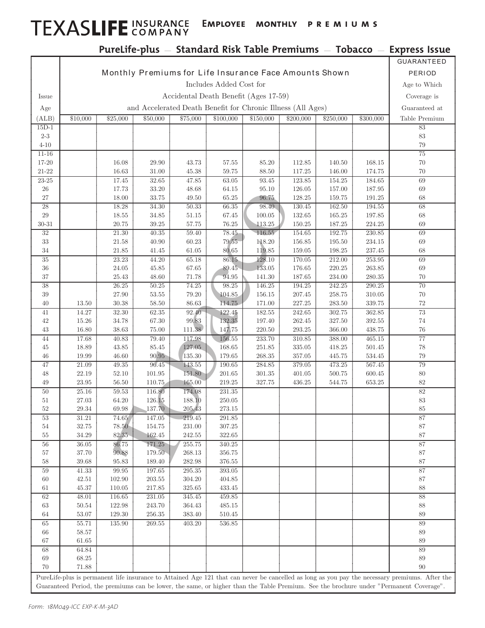# TEXASLIFE INSURANCE EMPLOYEE MONTHLY PREMIUMS

|                         |                                                              |                      |                    |                  |                          |                  |                  |                  |                      | PureLife-plus - Standard Risk Table Premiums - Tobacco - Express Issue                                                                         |
|-------------------------|--------------------------------------------------------------|----------------------|--------------------|------------------|--------------------------|------------------|------------------|------------------|----------------------|------------------------------------------------------------------------------------------------------------------------------------------------|
|                         |                                                              |                      |                    |                  |                          |                  |                  |                  |                      | GUARANTEED                                                                                                                                     |
|                         | Monthly Premiums for Life Insurance Face Amounts Shown       |                      |                    |                  |                          |                  |                  |                  | PERIOD               |                                                                                                                                                |
|                         | Includes Added Cost for                                      |                      |                    |                  |                          |                  |                  |                  | Age to Which         |                                                                                                                                                |
| Issue                   | Accidental Death Benefit (Ages 17-59)                        |                      |                    |                  |                          |                  |                  |                  | Coverage is          |                                                                                                                                                |
| Age                     | and Accelerated Death Benefit for Chronic Illness (All Ages) |                      |                    |                  |                          |                  |                  |                  |                      | Guaranteed at                                                                                                                                  |
| (ALB)                   | \$10,000                                                     | \$25,000             | \$50,000           | \$75,000         | \$100,000                | \$150,000        | \$200,000        | \$250,000        | \$300,000            | Table Premium                                                                                                                                  |
| $15\mathrm{D}\text{-}1$ |                                                              |                      |                    |                  |                          |                  |                  |                  |                      | 83                                                                                                                                             |
| $2-3$                   |                                                              |                      |                    |                  |                          |                  |                  |                  |                      | $83\,$                                                                                                                                         |
| $4 - 10$                |                                                              |                      |                    |                  |                          |                  |                  |                  |                      | 79                                                                                                                                             |
| $11 - 16$               |                                                              | 16.08                | 29.90              | 43.73            |                          |                  | 112.85           | 140.50           | 168.15               | 75<br>70                                                                                                                                       |
| $17 - 20$<br>$21 - 22$  |                                                              | 16.63                | 31.00              | 45.38            | 57.55<br>59.75           | 85.20<br>88.50   | 117.25           | 146.00           | 174.75               | 70                                                                                                                                             |
| $23 - 25$               |                                                              | 17.45                | $32.65\,$          | 47.85            | $63.05\,$                | 93.45            | 123.85           | 154.25           | 184.65               | 69                                                                                                                                             |
| 26                      |                                                              | 17.73                | 33.20              | 48.68            | 64.15                    | 95.10            | 126.05           | 157.00           | 187.95               | 69                                                                                                                                             |
| $27\,$                  |                                                              | 18.00                | $33.75\,$          | 49.50            | 65.25                    | 96.75            | 128.25           | 159.75           | 191.25               | 68                                                                                                                                             |
| $28\,$                  |                                                              | 18.28                | 34.30              | 50.33            | 66.35                    | 98.40            | 130.45           | 162.50           | 194.55               | 68                                                                                                                                             |
| $\,29$                  |                                                              | 18.55                | $34.85\,$          | 51.15            | 67.45                    | 100.05           | 132.65           | 165.25           | 197.85               | 68                                                                                                                                             |
| $30 - 31$               |                                                              | 20.75                | $39.25\,$          | $57.75\,$        | $76.25\,$                | 113.25           | 150.25           | $187.25\,$       | 224.25               | 69                                                                                                                                             |
| $\overline{32}$<br>33   |                                                              | 21.30<br>21.58       | 40.35<br>40.90     | 59.40<br>60.23   | 78.45<br>79.55           | 116.55<br>118.20 | 154.65<br>156.85 | 192.75<br>195.50 | 230.85<br>234.15     | 69<br>69                                                                                                                                       |
| $34\,$                  |                                                              | 21.85                | 41.45              | 61.05            | 80.65                    | 119.85           | 159.05           | 198.25           | 237.45               | 68                                                                                                                                             |
| $35\,$                  |                                                              | $23.23\,$            | 44.20              | 65.18            | 86.15                    | 128.10           | 170.05           | 212.00           | $253.95\,$           | 69                                                                                                                                             |
| 36                      |                                                              | 24.05                | 45.85              | 67.65            | 89.45                    | 133.05           | 176.65           | 220.25           | 263.85               | 69                                                                                                                                             |
| $37\,$                  |                                                              | 25.43                | 48.60              | 71.78            | 94.95                    | 141.30           | 187.65           | 234.00           | 280.35               | 70                                                                                                                                             |
| $\overline{38}$         |                                                              | 26.25                | 50.25              | 74.25            | 98.25                    | 146.25           | 194.25           | 242.25           | 290.25               | 70                                                                                                                                             |
| $39\,$                  |                                                              | 27.90                | $53.55\,$          | 79.20            | 104.85                   | 156.15           | 207.45           | 258.75           | 310.05               | 70                                                                                                                                             |
| 40                      | 13.50                                                        | 30.38                | $58.50\,$          | 86.63            | 114.75                   | 171.00           | 227.25           | 283.50           | 339.75               | 72                                                                                                                                             |
| 41                      | 14.27                                                        | $32.30\,$            | 62.35              | 92.40            | 122.45                   | 182.55           | 242.65           | 302.75           | $362.85\,$           | 73                                                                                                                                             |
| 42                      | 15.26                                                        | 34.78                | $67.30\,$          | 99.83            | 132.35                   | 197.40           | 262.45           | 327.50           | $392.55\,$           | 74                                                                                                                                             |
| $43\,$<br>44            | 16.80<br>17.68                                               | 38.63<br>40.83       | $75.00\,$<br>79.40 | 111.38<br>117.98 | 147.75<br>156.55         | 220.50<br>233.70 | 293.25<br>310.85 | 366.00<br>388.00 | 438.75<br>$465.15\,$ | 76<br>$77\,$                                                                                                                                   |
| $45\,$                  | 18.89                                                        | 43.85                | $85.45\,$          | 127.05           | 168.65                   | 251.85           | $335.05\,$       | 418.25           | 501.45               | 78                                                                                                                                             |
| 46                      | 19.99                                                        | 46.60                | 90.95              | 135.30           | 179.65                   | 268.35           | 357.05           | 445.75           | 534.45               | 79                                                                                                                                             |
| 47                      | 21.09                                                        | $\rm 49.35$          | 96.45              | 143.55           | $190.65\,$               | 284.85           | $379.05\,$       | 473.25           | $567.45\,$           | 79                                                                                                                                             |
| 48                      | 22.19                                                        | 52.10                | 101.95             | 151.80           | $201.65\,$               | 301.35           | 401.05           | 500.75           | 600.45               | 80                                                                                                                                             |
| 49                      | 23.95                                                        | 56.50                | 110.75             | 165.00           | 219.25                   | 327.75           | 436.25           | 544.75           | 653.25               | 82                                                                                                                                             |
| $50\,$                  | 25.16                                                        | 59.53                | 116.80             | 174.08           | 231.35                   |                  |                  |                  |                      | 82                                                                                                                                             |
| $51\,$                  | $27.03\,$                                                    | $64.20\,$            | $126.15\,$         | 188.10           | $250.05\,$               |                  |                  |                  |                      | $83\,$                                                                                                                                         |
| 52<br>53                | 29.34                                                        | 69.98<br>74.65       | 137.70             | 205.43<br>219.45 | $273.15\,$               |                  |                  |                  |                      | 85<br>87                                                                                                                                       |
| $54\,$                  | 31.21<br>32.75                                               | 78.50                | 147.05<br>154.75   | 231.00           | $291.85\,$<br>$307.25\,$ |                  |                  |                  |                      | 87                                                                                                                                             |
| $55\,$                  | 34.29                                                        | 82.35                | 162.45             | $242.55\,$       | $322.65\,$               |                  |                  |                  |                      | 87                                                                                                                                             |
| $56\,$                  | 36.05                                                        | 86.75                | 171.25             | $255.75\,$       | $340.25\,$               |                  |                  |                  |                      | 87                                                                                                                                             |
| 57                      | $37.70\,$                                                    | 90.88                | 179.50             | $268.13\,$       | $356.75\,$               |                  |                  |                  |                      | 87                                                                                                                                             |
| $58\,$                  | $39.68\,$                                                    | $\boldsymbol{95.83}$ | $189.40\,$         | 282.98           | 376.55                   |                  |                  |                  |                      | 87                                                                                                                                             |
| $59\,$                  | 41.33                                                        | $\boldsymbol{99.95}$ | $197.65\,$         | 295.35           | $393.05\,$               |                  |                  |                  |                      | 87                                                                                                                                             |
| 60                      | 42.51                                                        | 102.90               | $203.55\,$         | $304.20\,$       | $404.85\,$               |                  |                  |                  |                      | 87                                                                                                                                             |
| 61                      | 45.37                                                        | 110.05               | 217.85             | 325.65           | $433.45\,$               |                  |                  |                  |                      | 88                                                                                                                                             |
| 62<br>63                | 48.01<br>50.54                                               | 116.65<br>122.98     | 231.05<br>243.70   | 345.45<br>364.43 | 459.85<br>485.15         |                  |                  |                  |                      | 88<br>88                                                                                                                                       |
| 64                      | $53.07\,$                                                    | 129.30               | $256.35\,$         | $383.40\,$       | 510.45                   |                  |                  |                  |                      | $89\,$                                                                                                                                         |
| 65                      | 55.71                                                        | 135.90               | 269.55             | 403.20           | 536.85                   |                  |                  |                  |                      | 89                                                                                                                                             |
| 66                      | 58.57                                                        |                      |                    |                  |                          |                  |                  |                  |                      | 89                                                                                                                                             |
| 67                      | 61.65                                                        |                      |                    |                  |                          |                  |                  |                  |                      | 89                                                                                                                                             |
| 68                      | 64.84                                                        |                      |                    |                  |                          |                  |                  |                  |                      | 89                                                                                                                                             |
| 69                      | 68.25                                                        |                      |                    |                  |                          |                  |                  |                  |                      | 89                                                                                                                                             |
| $70\,$                  | 71.88                                                        |                      |                    |                  |                          |                  |                  |                  |                      | 90                                                                                                                                             |
|                         |                                                              |                      |                    |                  |                          |                  |                  |                  |                      | PureLife-plus is permanent life insurance to Attained Age 121 that can never be cancelled as long as you pay the necessary premiums. After the |
|                         |                                                              |                      |                    |                  |                          |                  |                  |                  |                      | Guaranteed Period, the premiums can be lower, the same, or higher than the Table Premium. See the brochure under "Permanent Coverage".         |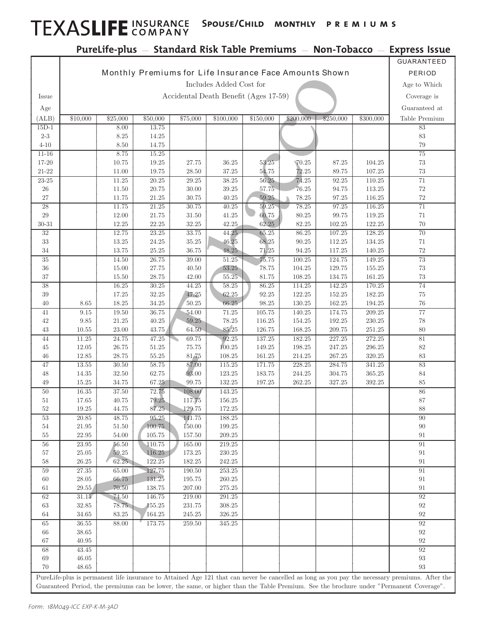## TEXASLIFE INSURANCE SPOUSE/CHILD MONTHLY PREMIUMS

#### PureLife-plus — Standard Risk Table Premiums — Non-Tobacco — Express Issue

|                        |                                                        |                    |                        |                      |                  |                  |                        |                  |                  | GUARANTEED                                                                                                                                     |
|------------------------|--------------------------------------------------------|--------------------|------------------------|----------------------|------------------|------------------|------------------------|------------------|------------------|------------------------------------------------------------------------------------------------------------------------------------------------|
|                        | Monthly Premiums for Life Insurance Face Amounts Shown |                    |                        |                      |                  |                  |                        |                  |                  | PERIOD                                                                                                                                         |
|                        | Includes Added Cost for                                |                    |                        |                      |                  |                  |                        |                  | Age to Which     |                                                                                                                                                |
| Issue                  | Accidental Death Benefit (Ages 17-59)                  |                    |                        |                      |                  |                  |                        |                  | Coverage is      |                                                                                                                                                |
| Age                    |                                                        |                    |                        |                      |                  |                  |                        |                  |                  | Guaranteed at                                                                                                                                  |
| (ALB)                  | \$10,000                                               | \$25,000           | \$50,000               | \$75,000             | \$100,000        | \$150,000        | \$200,000              | \$250,000        | \$300,000        | Table Premium                                                                                                                                  |
| $15D-1$                |                                                        | 8.00               | 13.75                  |                      |                  |                  |                        |                  |                  | $83\,$                                                                                                                                         |
| $2\hbox{-}3$           |                                                        | $8.25\,$           | 14.25                  |                      |                  |                  |                        |                  |                  | $83\,$                                                                                                                                         |
| $4 - 10$               |                                                        | 8.50               | 14.75                  |                      |                  |                  |                        |                  |                  | 79                                                                                                                                             |
| $11 - 16$              |                                                        | 8.75               | $15.25\,$              |                      |                  |                  |                        |                  |                  | 75                                                                                                                                             |
| 17-20                  |                                                        | 10.75              | 19.25                  | 27.75                | 36.25            | 53.25            | $\P 70.25$             | 87.25            | 104.25           | 73                                                                                                                                             |
| $21 - 22$<br>$23 - 25$ |                                                        | 11.00<br>11.25     | 19.75<br>20.25         | 28.50<br>29.25       | 37.25<br>38.25   | 54.75<br>56.25   | 72.25<br>74.25         | 89.75<br>92.25   | 107.25<br>110.25 | 73<br>$71\,$                                                                                                                                   |
| 26                     |                                                        | 11.50              | 20.75                  | 30.00                | 39.25            | 57.75            | 76.25                  | 94.75            | 113.25           | 72                                                                                                                                             |
| $27\,$                 |                                                        | 11.75              | $21.25\,$              | 30.75                | 40.25            | $59.25\,$        | $78.25\,$              | 97.25            | 116.25           | $72\,$                                                                                                                                         |
| 28                     |                                                        | 11.75              | 21.25                  | 30.75                | 40.25            | 59.25            | 78.25                  | 97.25            | 116.25           | $\overline{71}$                                                                                                                                |
| 29                     |                                                        | 12.00              | $21.75\,$              | 31.50                | 41.25            | 60.75            | $80.25\,$              | 99.75            | 119.25           | $71\,$                                                                                                                                         |
| $30 - 31$              |                                                        | 12.25              | $22.25\,$              | 32.25                | 42.25            | 62.25            | $82.25\,$              | 102.25           | 122.25           | 70                                                                                                                                             |
| 32                     |                                                        | 12.75              | 23.25                  | 33.75                | 44.25            | 65.25            | 86.25                  | 107.25           | 128.25           | 70                                                                                                                                             |
| 33<br>34               |                                                        | 13.25<br>13.75     | 24.25<br>$25.25\,$     | 35.25<br>36.75       | 46.25<br>48.25   | 68.25<br>71.25   | $90.25\,$<br>$94.25\,$ | 112.25<br>117.25 | 134.25<br>140.25 | 71<br>72                                                                                                                                       |
| 35                     |                                                        | 14.50              | $26.75\,$              | 39.00                | 51.25            | 75.75            | $100.25\,$             | 124.75           | 149.25           | 73                                                                                                                                             |
| 36                     |                                                        | 15.00              | $27.75\,$              | 40.50                | 53.25            | 78.75            | 104.25                 | 129.75           | 155.25           | $73\,$                                                                                                                                         |
| 37                     |                                                        | 15.50              | 28.75                  | 42.00                | $55.25\,$        | 81.75            | 108.25                 | 134.75           | 161.25           | $73\,$                                                                                                                                         |
| 38                     |                                                        | 16.25              | 30.25                  | 44.25                | 58.25            | 86.25            | 114.25                 | 142.25           | 170.25           | 74                                                                                                                                             |
| 39                     |                                                        | 17.25              | 32.25                  | 47.25                | 62.25            | 92.25            | 122.25                 | 152.25           | 182.25           | 75                                                                                                                                             |
| 40                     | 8.65                                                   | 18.25              | 34.25                  | 50.25                | 66.25            | 98.25            | 130.25                 | 162.25           | 194.25           | 76                                                                                                                                             |
| 41<br>42               | 9.15<br>9.85                                           | 19.50<br>$21.25\,$ | $36.75\,$<br>$40.25\,$ | 54.00<br>59.25       | 71.25<br>78.25   | 105.75<br>116.25 | 140.25<br>154.25       | 174.75<br>192.25 | 209.25<br>230.25 | 77<br>78                                                                                                                                       |
| 43                     | 10.55                                                  | 23.00              | $43.75\,$              | 64.50                | 85.25            | 126.75           | 168.25                 | 209.75           | 251.25           | 80                                                                                                                                             |
| 44                     | 11.25                                                  | 24.75              | 47.25                  | 69.75                | 92.25            | 137.25           | 182.25                 | 227.25           | 272.25           | 81                                                                                                                                             |
| 45                     | 12.05                                                  | 26.75              | 51.25                  | 75.75                | 100.25           | 149.25           | 198.25                 | 247.25           | 296.25           | 82                                                                                                                                             |
| 46                     | 12.85                                                  | 28.75              | $55.25\,$              | 81.75                | 108.25           | 161.25           | $214.25\,$             | 267.25           | 320.25           | $83\,$                                                                                                                                         |
| 47                     | $13.55\,$                                              | $30.50\,$          | $58.75\,$              | 87.00                | 115.25           | 171.75           | 228.25                 | 284.75           | 341.25           | 83                                                                                                                                             |
| 48<br>49               | 14.35<br>15.25                                         | 32.50              | 62.75                  | 93.00<br>99.75       | 123.25           | 183.75           | 244.25<br>262.25       | 304.75           | 365.25<br>392.25 | 84<br>85                                                                                                                                       |
| 50                     | $16.35\,$                                              | 34.75<br>37.50     | 67.25<br>72.75         | 108.00               | 132.25<br>143.25 | 197.25           |                        | 327.25           |                  | 86                                                                                                                                             |
| 51                     | 17.65                                                  | 40.75              | 79.25                  | 117.75               | 156.25           |                  |                        |                  |                  | 87                                                                                                                                             |
| 52                     | 19.25                                                  | 44.75              | 87.25                  | 129.75               | 172.25           |                  |                        |                  |                  | 88                                                                                                                                             |
| 53                     | $20.85\,$                                              | 48.75              | 95.25                  | 141.75               | $188.25\,$       |                  |                        |                  |                  | $90\,$                                                                                                                                         |
| 54                     | $21.95\,$                                              | $51.50\,$          | 100.75                 | 150.00               | 199.25           |                  |                        |                  |                  | 90                                                                                                                                             |
| 55                     | $22.95\,$                                              | $54.00\,$          | 105.75                 | 157.50               | $209.25\,$       |                  |                        |                  |                  | 91                                                                                                                                             |
| 56<br>57               | 23.95<br>25.05                                         | 56.50<br>59.25     | 110.75<br>116.25       | 165.00<br>173.25     | 219.25<br>230.25 |                  |                        |                  |                  | 91<br>91                                                                                                                                       |
| 58                     | 26.25                                                  | 62.25              | 122.25                 | 182.25               | 242.25           |                  |                        |                  |                  | 91                                                                                                                                             |
| 59                     | 27.35                                                  | 65.00              | 127.75                 | 190.50               | 253.25           |                  |                        |                  |                  | 91                                                                                                                                             |
| 60                     | 28.05                                                  | 66.75              | 131.25                 | 195.75               | 260.25           |                  |                        |                  |                  | 91                                                                                                                                             |
| 61                     | 29.55                                                  | 70.50              | 138.75                 | 207.00               | $275.25\,$       |                  |                        |                  |                  | 91                                                                                                                                             |
| 62                     | 31.15                                                  | 74.50              | 146.75                 | 219.00               | 291.25           |                  |                        |                  |                  | 92                                                                                                                                             |
| $63\,$<br>64           | $32.85\,$                                              | 78.75              | $155.25\,$<br>164.25   | 231.75<br>$245.25\,$ | 308.25           |                  |                        |                  |                  | $\boldsymbol{92}$<br>92                                                                                                                        |
| 65                     | 34.65<br>36.55                                         | $83.25\,$<br>88.00 | 173.75                 | $259.50\,$           | 326.25<br>345.25 |                  |                        |                  |                  | 92                                                                                                                                             |
| 66                     | 38.65                                                  |                    |                        |                      |                  |                  |                        |                  |                  | $\rm 92$                                                                                                                                       |
| 67                     | $40.95\,$                                              |                    |                        |                      |                  |                  |                        |                  |                  | 92                                                                                                                                             |
| 68                     | 43.45                                                  |                    |                        |                      |                  |                  |                        |                  |                  | 92                                                                                                                                             |
| 69                     | 46.05                                                  |                    |                        |                      |                  |                  |                        |                  |                  | 93                                                                                                                                             |
| 70                     | 48.65                                                  |                    |                        |                      |                  |                  |                        |                  |                  | 93                                                                                                                                             |
|                        |                                                        |                    |                        |                      |                  |                  |                        |                  |                  | PureLife-plus is permanent life insurance to Attained Age 121 that can never be cancelled as long as you pay the necessary premiums. After the |
|                        |                                                        |                    |                        |                      |                  |                  |                        |                  |                  | Guaranteed Period, the premiums can be lower, the same, or higher than the Table Premium. See the brochure under "Permanent Coverage".         |